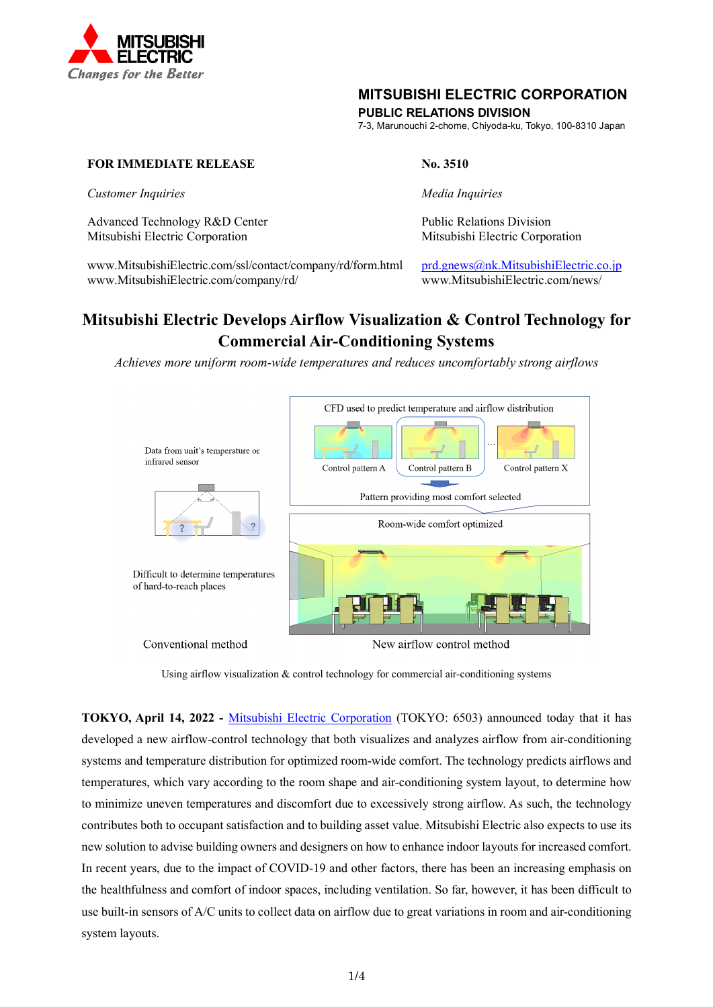

# **MITSUBISHI ELECTRIC CORPORATION**

**PUBLIC RELATIONS DIVISION**

7-3, Marunouchi 2-chome, Chiyoda-ku, Tokyo, 100-8310 Japan

## **FOR IMMEDIATE RELEASE No. 3510**

*Customer Inquiries Media Inquiries*

Advanced Technology R&D Center **Public Relations Division** Mitsubishi Electric Corporation Mitsubishi Electric Corporation

[www.MitsubishiElectric.com/ssl/contact/company/rd/form.html](http://www.mitsubishielectric.com/ssl/contact/company/rd/form.html) [prd.gnews@nk.MitsubishiElectric.co.jp](mailto:prd.gnews@nk.MitsubishiElectric.co.jp) www.MitsubishiElectric.com/company/rd/ www.MitsubishiElectric.com/news/

# **Mitsubishi Electric Develops Airflow Visualization & Control Technology for Commercial Air-Conditioning Systems**

*Achieves more uniform room-wide temperatures and reduces uncomfortably strong airflows* 



Conventional method

New airflow control method

**TOKYO, April 14, 2022 -** [Mitsubishi Electric Corporation](https://www.mitsubishielectric.com/) (TOKYO: 6503) announced today that it has developed a new airflow-control technology that both visualizes and analyzes airflow from air-conditioning systems and temperature distribution for optimized room-wide comfort. The technology predicts airflows and temperatures, which vary according to the room shape and air-conditioning system layout, to determine how to minimize uneven temperatures and discomfort due to excessively strong airflow. As such, the technology contributes both to occupant satisfaction and to building asset value. Mitsubishi Electric also expects to use its new solution to advise building owners and designers on how to enhance indoor layouts for increased comfort. In recent years, due to the impact of COVID-19 and other factors, there has been an increasing emphasis on the healthfulness and comfort of indoor spaces, including ventilation. So far, however, it has been difficult to use built-in sensors of A/C units to collect data on airflow due to great variations in room and air-conditioning system layouts.

Using airflow visualization & control technology for commercial air-conditioning systems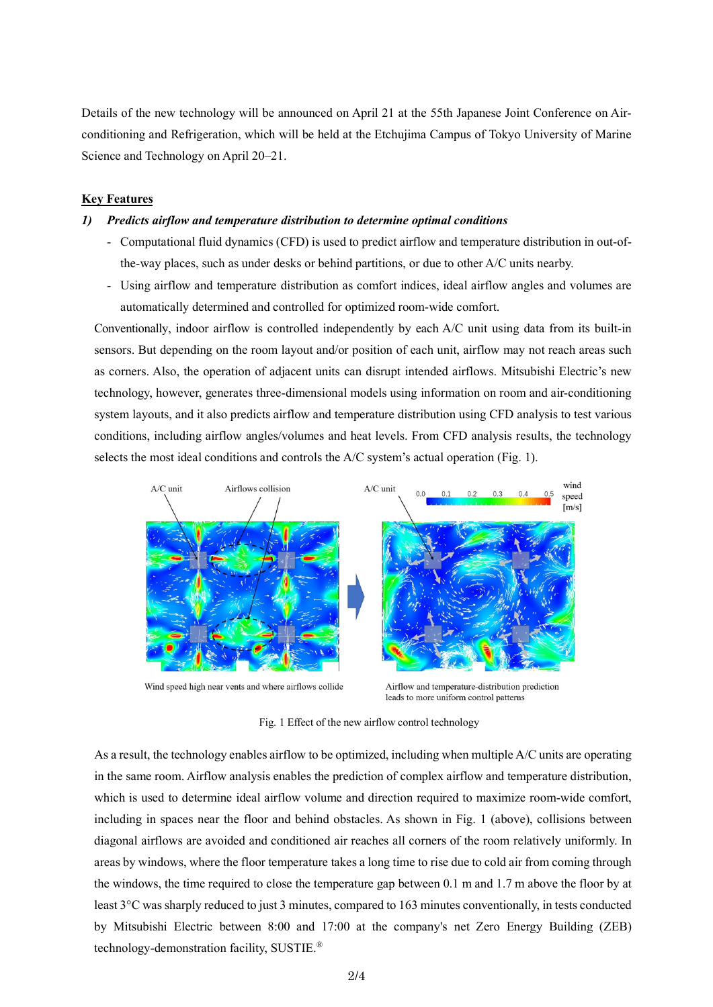Details of the new technology will be announced on April 21 at the 55th Japanese Joint Conference on Airconditioning and Refrigeration, which will be held at the Etchujima Campus of Tokyo University of Marine Science and Technology on April 20–21.

#### **Key Features**

#### *1) Predicts airflow and temperature distribution to determine optimal conditions*

- Computational fluid dynamics (CFD) is used to predict airflow and temperature distribution in out-ofthe-way places, such as under desks or behind partitions, or due to other A/C units nearby.
- Using airflow and temperature distribution as comfort indices, ideal airflow angles and volumes are automatically determined and controlled for optimized room-wide comfort.

Conventionally, indoor airflow is controlled independently by each A/C unit using data from its built-in sensors. But depending on the room layout and/or position of each unit, airflow may not reach areas such as corners. Also, the operation of adjacent units can disrupt intended airflows. Mitsubishi Electric's new technology, however, generates three-dimensional models using information on room and air-conditioning system layouts, and it also predicts airflow and temperature distribution using CFD analysis to test various conditions, including airflow angles/volumes and heat levels. From CFD analysis results, the technology selects the most ideal conditions and controls the A/C system's actual operation (Fig. 1).



Wind speed high near vents and where airflows collide

Airflow and temperature-distribution prediction leads to more uniform control patterns

Fig. 1 Effect of the new airflow control technology

As a result, the technology enables airflow to be optimized, including when multiple A/C units are operating in the same room. Airflow analysis enables the prediction of complex airflow and temperature distribution, which is used to determine ideal airflow volume and direction required to maximize room-wide comfort, including in spaces near the floor and behind obstacles. As shown in Fig. 1 (above), collisions between diagonal airflows are avoided and conditioned air reaches all corners of the room relatively uniformly. In areas by windows, where the floor temperature takes a long time to rise due to cold air from coming through the windows, the time required to close the temperature gap between 0.1 m and 1.7 m above the floor by at least 3°C was sharply reduced to just 3 minutes, compared to 163 minutes conventionally, in tests conducted by Mitsubishi Electric between 8:00 and 17:00 at the company's net Zero Energy Building (ZEB) technology-demonstration facility, SUSTIE.®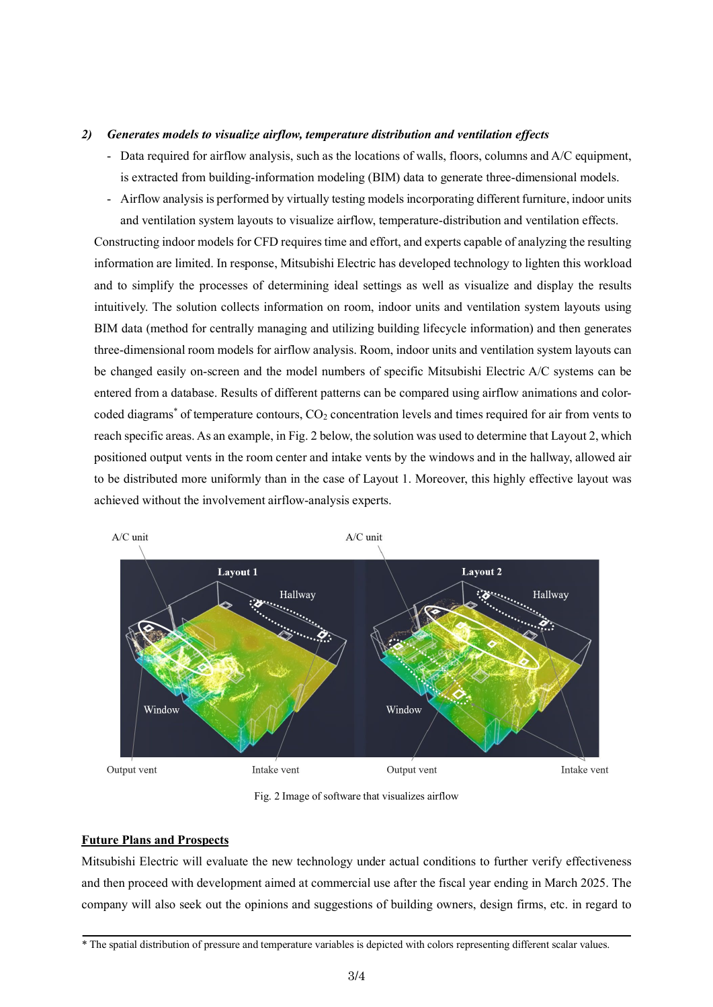#### *2) Generates models to visualize airflow, temperature distribution and ventilation effects*

- Data required for airflow analysis, such as the locations of walls, floors, columns and A/C equipment, is extracted from building-information modeling (BIM) data to generate three-dimensional models.
- Airflow analysis is performed by virtually testing models incorporating different furniture, indoor units and ventilation system layouts to visualize airflow, temperature-distribution and ventilation effects.

Constructing indoor models for CFD requires time and effort, and experts capable of analyzing the resulting information are limited. In response, Mitsubishi Electric has developed technology to lighten this workload and to simplify the processes of determining ideal settings as well as visualize and display the results intuitively. The solution collects information on room, indoor units and ventilation system layouts using BIM data (method for centrally managing and utilizing building lifecycle information) and then generates three-dimensional room models for airflow analysis. Room, indoor units and ventilation system layouts can be changed easily on-screen and the model numbers of specific Mitsubishi Electric A/C systems can be entered from a database. Results of different patterns can be compared using airflow animations and colorcoded diagrams<sup>\*</sup> of temperature contours, CO<sub>2</sub> concentration levels and times required for air from vents to reach specific areas. As an example, in Fig. 2 below, the solution was used to determine that Layout 2, which positioned output vents in the room center and intake vents by the windows and in the hallway, allowed air to be distributed more uniformly than in the case of Layout 1. Moreover, this highly effective layout was achieved without the involvement airflow-analysis experts.



Fig. 2 Image of software that visualizes airflow

#### **Future Plans and Prospects**

Mitsubishi Electric will evaluate the new technology under actual conditions to further verify effectiveness and then proceed with development aimed at commercial use after the fiscal year ending in March 2025. The company will also seek out the opinions and suggestions of building owners, design firms, etc. in regard to

<sup>\*</sup> The spatial distribution of pressure and temperature variables is depicted with colors representing different scalar values.